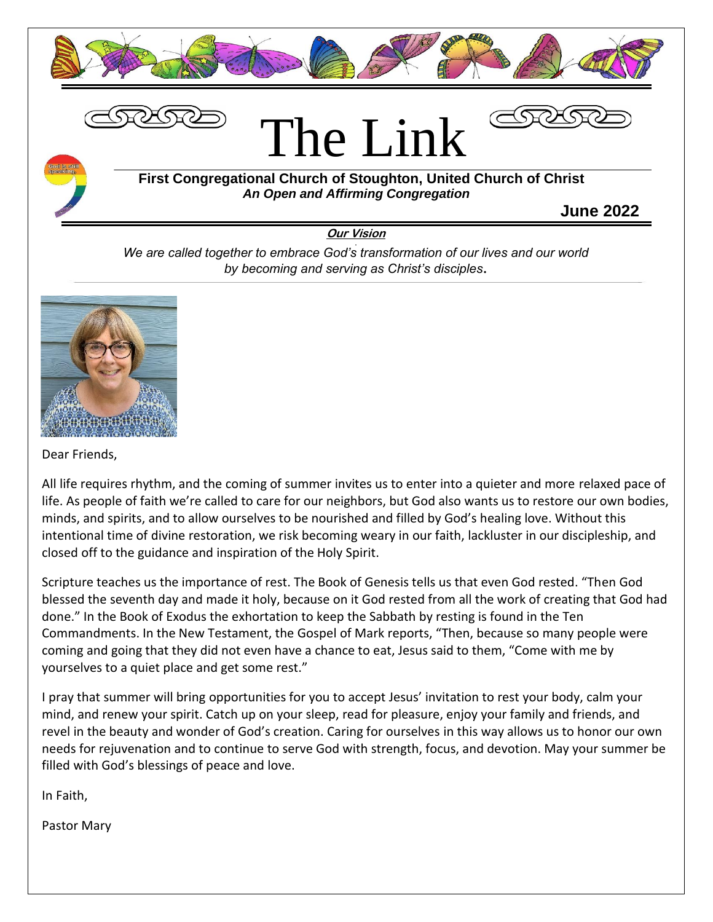





### **First Congregational Church of Stoughton, United Church of Christ** *An Open and Affirming Congregation*

**June 2022**

**Our Vision**

*We are called together to embrace God's transformation of our lives and our world by becoming and serving as Christ's disciples***.**



Dear Friends,

All life requires rhythm, and the coming of summer invites us to enter into a quieter and more relaxed pace of life. As people of faith we're called to care for our neighbors, but God also wants us to restore our own bodies, minds, and spirits, and to allow ourselves to be nourished and filled by God's healing love. Without this intentional time of divine restoration, we risk becoming weary in our faith, lackluster in our discipleship, and closed off to the guidance and inspiration of the Holy Spirit.

Scripture teaches us the importance of rest. The Book of Genesis tells us that even God rested. "Then God blessed the seventh day and made it holy, because on it God rested from all the work of creating that God had done." In the Book of Exodus the exhortation to keep the Sabbath by resting is found in the Ten Commandments. In the New Testament, the Gospel of Mark reports, "Then, because so many people were coming and going that they did not even have a chance to eat, Jesus said to them, "Come with me by yourselves to a quiet place and get some rest."

I pray that summer will bring opportunities for you to accept Jesus' invitation to rest your body, calm your mind, and renew your spirit. Catch up on your sleep, read for pleasure, enjoy your family and friends, and revel in the beauty and wonder of God's creation. Caring for ourselves in this way allows us to honor our own needs for rejuvenation and to continue to serve God with strength, focus, and devotion. May your summer be filled with God's blessings of peace and love.

In Faith,

Pastor Mary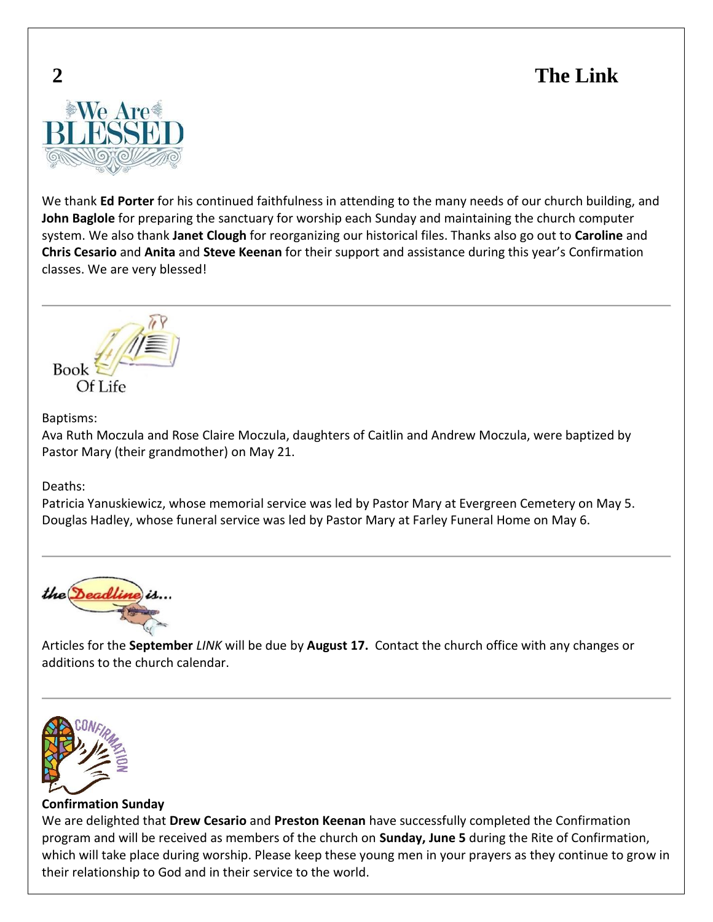

We thank **Ed Porter** for his continued faithfulness in attending to the many needs of our church building, and **John Baglole** for preparing the sanctuary for worship each Sunday and maintaining the church computer system. We also thank **Janet Clough** for reorganizing our historical files. Thanks also go out to **Caroline** and **Chris Cesario** and **Anita** and **Steve Keenan** for their support and assistance during this year's Confirmation classes. We are very blessed!



### Baptisms:

Ava Ruth Moczula and Rose Claire Moczula, daughters of Caitlin and Andrew Moczula, were baptized by Pastor Mary (their grandmother) on May 21.

Deaths:

Patricia Yanuskiewicz, whose memorial service was led by Pastor Mary at Evergreen Cemetery on May 5. Douglas Hadley, whose funeral service was led by Pastor Mary at Farley Funeral Home on May 6.



Articles for the **September** *LINK* will be due by **August 17.** Contact the church office with any changes or additions to the church calendar.



### **Confirmation Sunday**

We are delighted that **Drew Cesario** and **Preston Keenan** have successfully completed the Confirmation program and will be received as members of the church on **Sunday, June 5** during the Rite of Confirmation, which will take place during worship. Please keep these young men in your prayers as they continue to grow in their relationship to God and in their service to the world.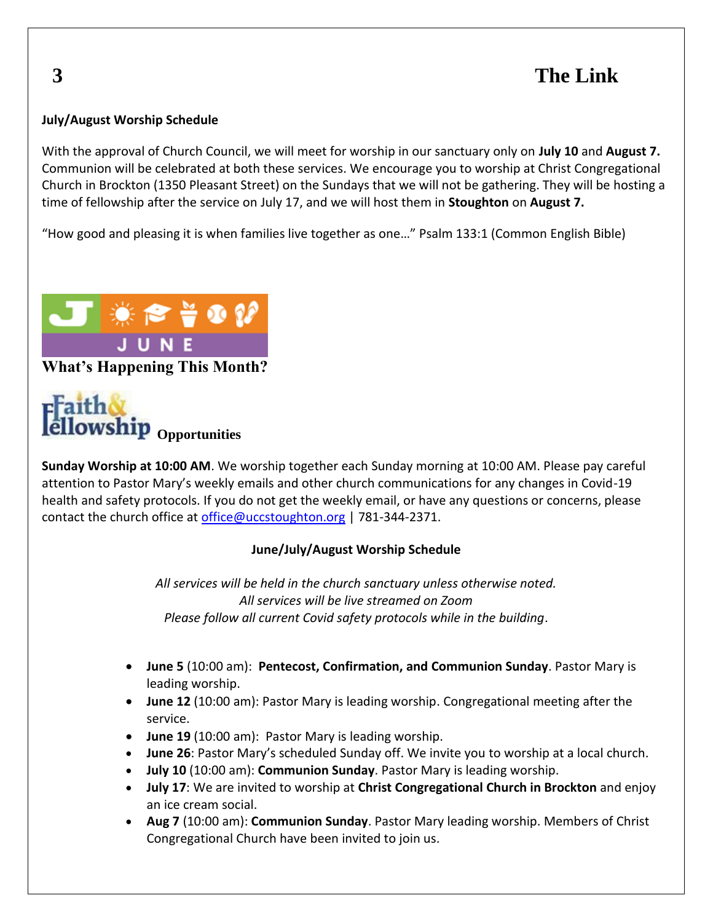## **July/August Worship Schedule**

With the approval of Church Council, we will meet for worship in our sanctuary only on **July 10** and **August 7.** Communion will be celebrated at both these services. We encourage you to worship at Christ Congregational Church in Brockton (1350 Pleasant Street) on the Sundays that we will not be gathering. They will be hosting a time of fellowship after the service on July 17, and we will host them in **Stoughton** on **August 7.**

"How good and pleasing it is when families live together as one…" Psalm 133:1 (Common English Bible)





**Sunday Worship at 10:00 AM**. We worship together each Sunday morning at 10:00 AM. Please pay careful attention to Pastor Mary's weekly emails and other church communications for any changes in Covid-19 health and safety protocols. If you do not get the weekly email, or have any questions or concerns, please contact the church office at [office@uccstoughton.org](mailto:office@uccstoughton.org) | 781-344-2371.

### **June/July/August Worship Schedule**

*All services will be held in the church sanctuary unless otherwise noted. All services will be live streamed on Zoom Please follow all current Covid safety protocols while in the building*.

- **June 5** (10:00 am): **Pentecost, Confirmation, and Communion Sunday**. Pastor Mary is leading worship.
- **June 12** (10:00 am): Pastor Mary is leading worship. Congregational meeting after the service.
- **June 19** (10:00 am): Pastor Mary is leading worship.
- **June 26**: Pastor Mary's scheduled Sunday off. We invite you to worship at a local church.
- **July 10** (10:00 am): **Communion Sunday**. Pastor Mary is leading worship.
- **July 17**: We are invited to worship at **Christ Congregational Church in Brockton** and enjoy an ice cream social.
- **Aug 7** (10:00 am): **Communion Sunday**. Pastor Mary leading worship. Members of Christ Congregational Church have been invited to join us.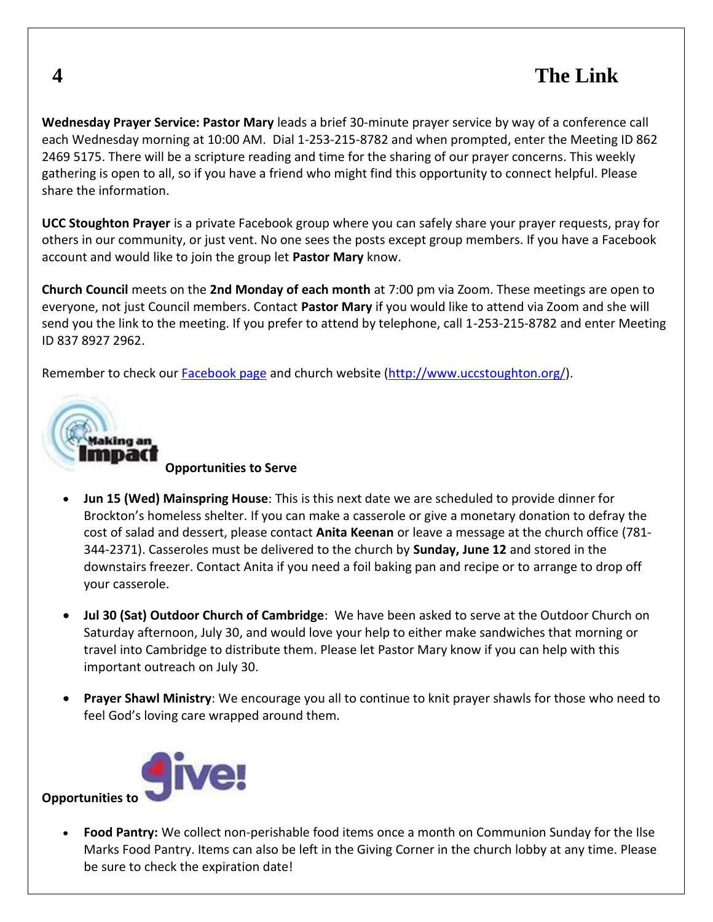**Wednesday Prayer Service: Pastor Mary** leads a brief 30-minute prayer service by way of a conference call each Wednesday morning at 10:00 AM. Dial 1-253-215-8782 and when prompted, enter the Meeting ID 862 2469 5175. There will be a scripture reading and time for the sharing of our prayer concerns. This weekly gathering is open to all, so if you have a friend who might find this opportunity to connect helpful. Please share the information.

**UCC Stoughton Prayer** is a private Facebook group where you can safely share your prayer requests, pray for others in our community, or just vent. No one sees the posts except group members. If you have a Facebook account and would like to join the group let **Pastor Mary** know.

**Church Council** meets on the **2nd Monday of each month** at 7:00 pm via Zoom. These meetings are open to everyone, not just Council members. Contact **Pastor Mary** if you would like to attend via Zoom and she will send you the link to the meeting. If you prefer to attend by telephone, call 1-253-215-8782 and enter Meeting ID 837 8927 2962.

Remember to check our [Facebook page](https://www.facebook.com/FirstCongregationalChurchofStoughton/) and church website [\(http://www.uccstoughton.org/\)](http://www.uccstoughton.org/).



**Opportunities to Serve**

- **Jun 15 (Wed) Mainspring House**: This is this next date we are scheduled to provide dinner for Brockton's homeless shelter. If you can make a casserole or give a monetary donation to defray the cost of salad and dessert, please contact **Anita Keenan** or leave a message at the church office (781- 344-2371). Casseroles must be delivered to the church by **Sunday, June 12** and stored in the downstairs freezer. Contact Anita if you need a foil baking pan and recipe or to arrange to drop off your casserole.
- **Jul 30 (Sat) Outdoor Church of Cambridge**: We have been asked to serve at the Outdoor Church on Saturday afternoon, July 30, and would love your help to either make sandwiches that morning or travel into Cambridge to distribute them. Please let Pastor Mary know if you can help with this important outreach on July 30.
- **Prayer Shawl Ministry**: We encourage you all to continue to knit prayer shawls for those who need to feel God's loving care wrapped around them.



**Opportunities to** 

• **Food Pantry:** We collect non-perishable food items once a month on Communion Sunday for the Ilse Marks Food Pantry. Items can also be left in the Giving Corner in the church lobby at any time. Please be sure to check the expiration date!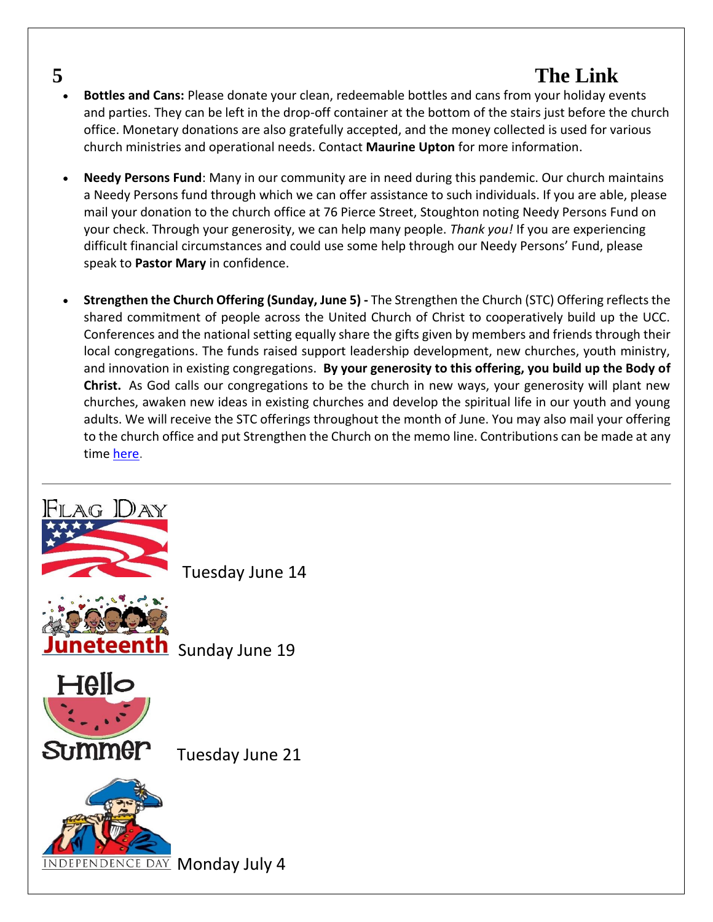- **Bottles and Cans:** Please donate your clean, redeemable bottles and cans from your holiday events and parties. They can be left in the drop-off container at the bottom of the stairs just before the church office. Monetary donations are also gratefully accepted, and the money collected is used for various church ministries and operational needs. Contact **Maurine Upton** for more information.
- **Needy Persons Fund**: Many in our community are in need during this pandemic. Our church maintains a Needy Persons fund through which we can offer assistance to such individuals. If you are able, please mail your donation to the church office at 76 Pierce Street, Stoughton noting Needy Persons Fund on your check. Through your generosity, we can help many people. *Thank you!* If you are experiencing difficult financial circumstances and could use some help through our Needy Persons' Fund, please speak to **Pastor Mary** in confidence.
- **Strengthen the Church Offering (Sunday, June 5) -** The Strengthen the Church (STC) Offering reflects the shared commitment of people across the United Church of Christ to cooperatively build up the UCC. Conferences and the national setting equally share the gifts given by members and friends through their local congregations. The funds raised support leadership development, new churches, youth ministry, and innovation in existing congregations. **By your generosity to this offering, you build up the Body of Christ.** As God calls our congregations to be the church in new ways, your generosity will plant new churches, awaken new ideas in existing churches and develop the spiritual life in our youth and young adults. We will receive the STC offerings throughout the month of June. You may also mail your offering to the church office and put Strengthen the Church on the memo line. Contributions can be made at any time [here.](https://support.ucc.org/ways-to-give/our-churchs-wider-mission/strengthen-the-church/strengthen-the-church-give)



Tuesday June 14



eteenth Sunday June 19



Tuesday June 21

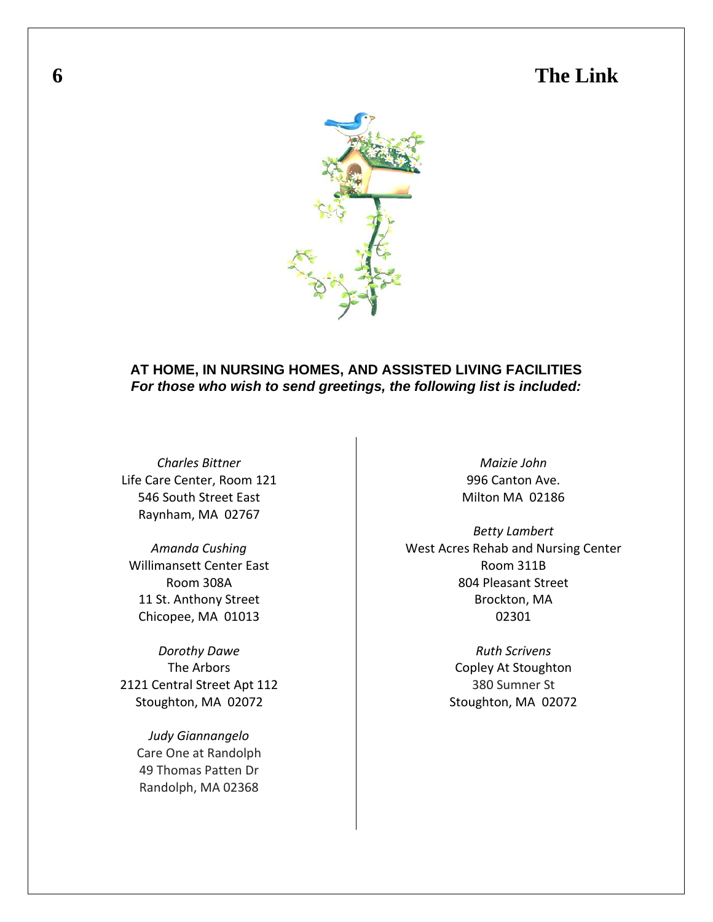

### **AT HOME, IN NURSING HOMES, AND ASSISTED LIVING FACILITIES** *For those who wish to send greetings, the following list is included:*

*Charles Bittner* Life Care Center, Room 121 546 South Street East Raynham, MA 02767

*Amanda Cushing* Willimansett Center East Room 308A 11 St. Anthony Street Chicopee, MA 01013

*Dorothy Dawe* The Arbors 2121 Central Street Apt 112 Stoughton, MA 02072

> *Judy Giannangelo* Care One at Randolph 49 Thomas Patten Dr Randolph, MA 02368

*Maizie John* 996 Canton Ave. Milton MA 02186

*Betty Lambert* West Acres Rehab and Nursing Center Room 311B 804 Pleasant Street Brockton, MA 02301

> *Ruth Scrivens* Copley At Stoughton 380 Sumner St Stoughton, MA 02072